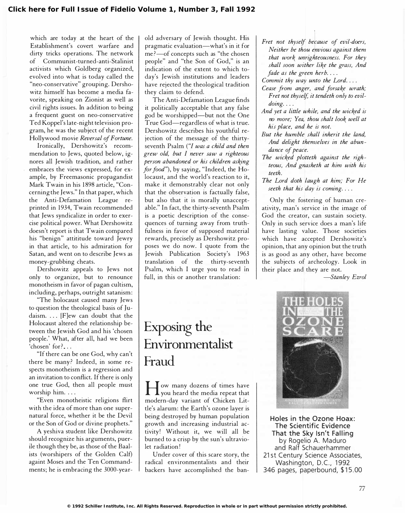which are today at the heart of the Establishment's covert warfare and dirty tricks operations. The network of Communist-turned-anti-Stalinist activists which Goldberg organized, evolved into what is today called the "neo-conservative" grouping. Dershowitz himself has become a media favorite, speaking on Zionist as well as civil rights issues. In addition to being a frequent guest on neo-conservative Ted Koppel's late-night television program, he was the subject of the recent Hollywood movie Reversal of Fortune.

Ironically, Dershowitz's recommendation to Jews, quoted below, ignores all Jewish tradition, and rather embraces the views expressed, for example, by Freemasonic propagandist Mark Twain in his 1898 article, "Concerning the Jews." In that paper, which the Anti-Defamation League reprinted in 1934, Twain recommended that Jews syndicalize in order to exercise political power. What Dershowitz doesn't report is that Twain compared his "benign" attititude toward Jewry in that article, to his admiration for Satan, and went on to describe Jews as money-grubbing cheats.

Dershowitz appeals to Jews not only to organize, but to renounce monotheism in favor of pagan cultism, including, perhaps, outright satanism:

"The holocaust caused many Jews to question the theological basis of Judaism.  $\ldots$  [F]ew can doubt that the Holocaust altered the relationship between the Jewish God and his 'chosen people.' What, after all, had we been 'chosen' for?...

"If there can be one God, why can't there be many? Indeed, in some respects monotheism is a regression and an invitation to conflict. If there is only one true God, then all people must worship him. . . .

"Even monotheistic religions flirt with the idea of more than one supernatural force, whether it be the Devil or the Son of God or divine prophets."

A yeshiva student like Dershowitz should recognize his arguments, puerile though they be, as those of the Baalists (worshipers of the Golden Calf) againt Moses and the Ten Commandments; he is embracing the 3000-yearold adversary of Jewish thought. His pragmatic evaluation-what's in it for me?-of concepts such as "the chosen people" and "the Son of God," is an indication of the extent to which today's Jewish institutions and leaders have rejected the theological tradition they claim to defend.

The Anti-Defamation League finds it politically acceptable that any false god be worshipped-but not the One True God-regardless of what is true. Dershowitz describes his youthful rejection of the message of the thirtyseventh Psalm ("I was a child and then grew old, but / never saw a righteous person abandoned or his children asking for food"), by saying, "Indeed, the Holocaust, and the world's reaction to it, make it demonstrably clear not only that the observation is factually false, but also that it is morally unacceptable." In fact, the thirty-seventh Psalm is a poetic description of the consequences of turning away from truthfulness in favor of supposed material rewards, precisely as Dershowitz proposes we do now. I quote from the Jewish Publication Society's 1963 translation of the thirty-seventh Psalm, which I urge you to read in full, in this or another translation:

## Exposing the Environmentalist Fraud

H you heard the media repeat that ow many dozens of times have modern-day variant of Chicken Little's alarum: the Earth's ozone layer is being destroyed by human population growth and increasing industrial activity! Without it, we will all be burned to a crisp by the sun's ultraviolet radiation!

Under cover of this scare story, the radical environmentalists and their backers have accomplished the banFret not thyself because of evil-doers, Neither be thou envious against them that work unrighteousness. For they shall soon wither like the grass, And fade as the green herb....

Commit thy way unto the Lord....

- Cease from anger, and forsake wrath; Fret not thyself, it tendeth only to evil- $\omega$ *doing*  $\ldots$
- And yet a little while, and the wicked is no more; Yea, thou shalt look well at his place, and he is not.
- But the humble shall inherit the land, And delight themselves in the abun dance of peace.
- The wicked plotteth against the righteous, And gnasheth at him with his teeth.
- The Lord doth laugh at him; For He seeth that his day is coming....

Only the fostering of human creativity, man's service in the image of God the creator, can sustain society. Only in such service does a man's life have lasting value. Those societies which have accepted Dershowitz's opinion, that any opinion but the truth is as good as any other, have become the subjects of archeology. Look in their place and they are not.

-Stanley Ezrol



Holes in the Ozone Hoax: The Scientific Evidence That the Sky Isn't Falling by Rogelio A. Maduro and Ralf Schauerhammer 21st Century Science Associates, Washington, D.C., 1992 346 pages, paperbound, \$15.00